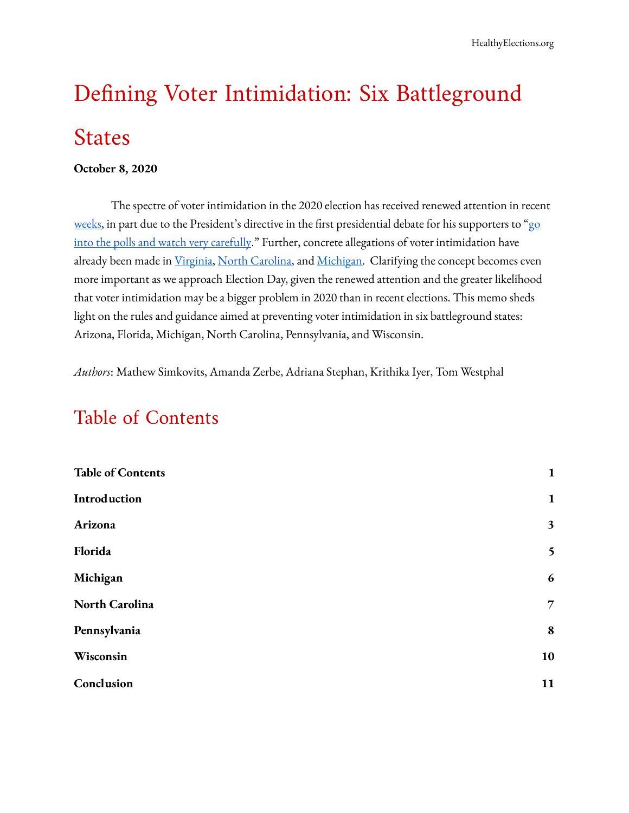# Defining Voter Intimidation: Six Battleground States

#### **October 8, 2020**

The spectre of voter intimidation in the 2020 election has received renewed attention in recent weeks, in part due to the President's directive in the first presidential debate for his supporters to "go [into the polls and watch very carefully](https://www.nbcnews.com/news/us-news/trump-s-call-supporters-watch-polls-very-carefully-raises-concerns-n1241613)." Further, concrete allegations of voter intimidation have already been made in Virginia, North Carolina, and [Michigan](https://www.npr.org/2020/10/01/919309649/far-right-activists-charged-over-robocalls-that-allegedly-targeted-minority-vote). Clarifying the concept becomes even more important as we approach Election Day, given the renewed attention and the greater likelihood that voter intimidation may be a bigger problem in 2020 than in recent elections. This memo sheds light on the rules and guidance aimed at preventing voter intimidation in six battleground states: Arizona, Florida, Michigan, North Carolina, Pennsylvania, and Wisconsin.

*Authors* : Mathew Simkovits, Amanda Zerbe, Adriana Stephan, Krithika Iyer, Tom Westphal

# <span id="page-0-0"></span>Table of Contents

| <b>Table of Contents</b> | $\mathbf{1}$     |
|--------------------------|------------------|
| <b>Introduction</b>      | $\mathbf{1}$     |
| Arizona                  | 3                |
| Florida                  | 5                |
| Michigan                 | $\boldsymbol{6}$ |
| North Carolina           | $\overline{7}$   |
| Pennsylvania             | 8                |
| Wisconsin                | 10               |
| Conclusion               | 11               |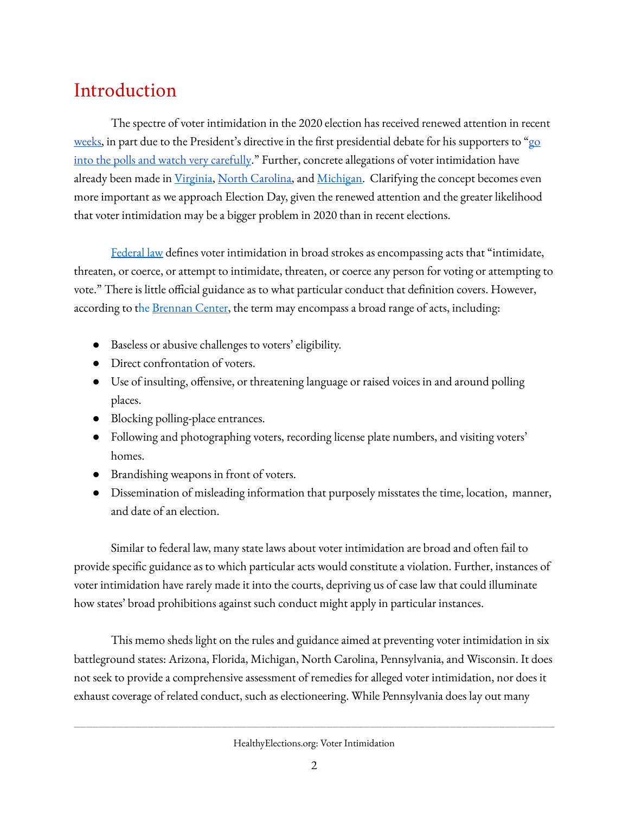# <span id="page-1-0"></span>Introduction

The spectre of voter intimidation in the 2020 election has received renewed attention in recent weeks, in part due to the President's directive in the first presidential debate for his supporters to "go [into the polls and watch very carefully](https://www.nbcnews.com/news/us-news/trump-s-call-supporters-watch-polls-very-carefully-raises-concerns-n1241613)." Further, concrete allegations of voter intimidation have already been made in Virginia, North Carolina, and [Michigan](https://www.npr.org/2020/10/01/919309649/far-right-activists-charged-over-robocalls-that-allegedly-targeted-minority-vote). Clarifying the concept becomes even more important as we approach Election Day, given the renewed attention and the greater likelihood that voter intimidation may be a bigger problem in 2020 than in recent elections.

[Federal law](https://www.law.cornell.edu/uscode/text/52/10307) defines voter intimidation in broad strokes as encompassing acts that "intimidate, threaten, or coerce, or attempt to intimidate, threaten, or coerce any person for voting or attempting to vote." There is little official guidance as to what particular conduct that definition covers. However, according to the Brennan Center, the term may encompass a broad range of acts, including:

- Baseless or abusive challenges to voters' eligibility.
- Direct confrontation of voters.
- Use of insulting, offensive, or threatening language or raised voices in and around polling places.
- Blocking polling-place entrances.
- Following and photographing voters, recording license plate numbers, and visiting voters' homes.
- Brandishing weapons in front of voters.
- Dissemination of misleading information that purposely misstates the time, location, manner, and date of an election.

Similar to federal law, many state laws about voter intimidation are broad and often fail to provide specific guidance as to which particular acts would constitute a violation. Further, instances of voter intimidation have rarely made it into the courts, depriving us of case law that could illuminate how states' broad prohibitions against such conduct might apply in particular instances.

This memo sheds light on the rules and guidance aimed at preventing voter intimidation in six battleground states: Arizona, Florida, Michigan, North Carolina, Pennsylvania, and Wisconsin. It does not seek to provide a comprehensive assessment of remedies for alleged voter intimidation, nor does it exhaust coverage of related conduct, such as electioneering. While Pennsylvania does lay out many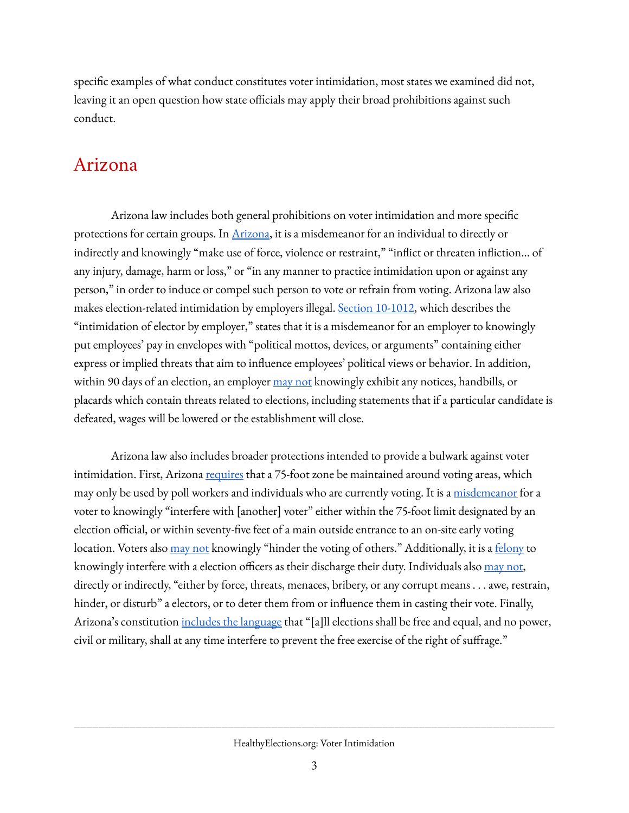specific examples of what conduct constitutes voter intimidation, most states we examined did not, leaving it an open question how state officials may apply their broad prohibitions against such conduct.

### <span id="page-2-0"></span>Arizona

Arizona law includes both general prohibitions on voter intimidation and more specific protections for certain groups. In **[Arizona](https://www.azleg.gov/viewdocument/?docName=https://www.azleg.gov/ars/16/01013.htm)**, it is a misdemeanor for an individual to directly or indirectly and knowingly "make use of force, violence or restraint," "inflict or threaten infliction... of any injury, damage, harm or loss," or "in any manner to practice intimidation upon or against any person," in order to induce or compel such person to vote or refrain from voting. Arizona law also makes election-related intimidation by employers illegal. Section 10-1012, which describes the "intimidation of elector by employer," states that it is a misdemeanor for an employer to knowingly put employees' pay in envelopes with "political mottos, devices, or arguments" containing either express or implied threats that aim to influence employees' political views or behavior. In addition, within 90 days of an election, an employer  $\frac{may}{not}$  knowingly exhibit any notices, handbills, or placards which contain threats related to elections, including statements that if a particular candidate is defeated, wages will be lowered or the establishment will close.

Arizona law also includes broader protections intended to provide a bulwark against voter intimidation. First, Arizona [requires](https://www.azleg.gov/viewdocument/?docName=https://www.azleg.gov/ars/16/00515.htm) that a 75-foot zone be maintained around voting areas, which may only be used by poll workers and individuals who are currently voting. It is a [misdemeanor](https://www.azleg.gov/viewdocument/?docName=https://www.azleg.gov/ars/16/01017.htm) for a voter to knowingly "interfere with [another] voter" either within the 75-foot limit designated by an election official, or within seventy-five feet of a main outside entrance to an on-site early voting location. Voters also [may not](https://www.azleg.gov/viewdocument/?docName=https://www.azleg.gov/ars/16/01017.htm) knowingly "hinder the voting of others." Additionally, it is a [felony](https://www.azleg.gov/viewdocument/?docName=https://www.azleg.gov/ars/16/01004.htm) to knowingly interfere with a election officers as their discharge their duty. Individuals also [may not](https://www.azleg.gov/viewdocument/?docName=https://www.azleg.gov/ars/16/01006.htm), directly or indirectly, "either by force, threats, menaces, bribery, or any corrupt means . . . awe, restrain, hinder, or disturb" a electors, or to deter them from or influence them in casting their vote. Finally, Arizona's constitution [includes the language](https://www.azleg.gov/const/arizona_constitution.pdf#page=5) that "[a]ll elections shall be free and equal, and no power, civil or military, shall at any time interfere to prevent the free exercise of the right of suffrage."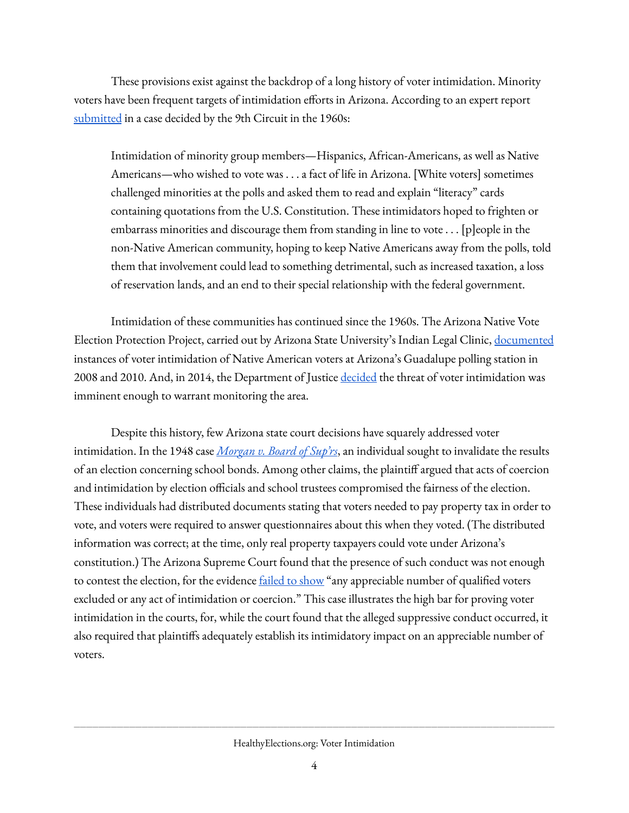These provisions exist against the backdrop of a long history of voter intimidation. Minority voters have been frequent targets of intimidation efforts in Arizona. According to an expert report [submitted](https://cdn.ca9.uscourts.gov/datastore/opinions/2020/01/27/18-15845.pdf#page=57) in a case decided by the 9th Circuit in the 1960s:

Intimidation of minority group members—Hispanics, African-Americans, as well as Native Americans—who wished to vote was . . . a fact of life in Arizona. [White voters] sometimes challenged minorities at the polls and asked them to read and explain "literacy" cards containing quotations from the U.S. Constitution. These intimidators hoped to frighten or embarrass minorities and discourage them from standing in line to vote . . . [p]eople in the non-Native American community, hoping to keep Native Americans away from the polls, told them that involvement could lead to something detrimental, such as increased taxation, a loss of reservation lands, and an end to their special relationship with the federal government.

Intimidation of these communities has continued since the 1960s. The Arizona Native Vote Election Protection Project, carried out by Arizona State University's Indian Legal Clinic, [documented](https://arizonastatelawjournal.org/wp-content/uploads/2016/02/Ferguson_Final.pdf#page=41) instances of voter intimidation of Native American voters at Arizona's Guadalupe polling station in 2008 and 2010. And, in 2014, the Department of Justice [decided](https://www.azcentral.com/story/news/local/tempe/2014/08/01/department-of-justice-guadalupe-arpaio-abrk/13481557/?from=global&sessionKey=&autologin=) the threat of voter intimidation was imminent enough to warrant monitoring the area.

Despite this history, few Arizona state court decisions have squarely addressed voter intimidation. In the 1948 case *[Morgan v. Board of Sup'rs](https://casetext.com/case/morgan-v-board-of-suprs)* , an individual sought to invalidate the results of an election concerning school bonds. Among other claims, the plaintiff argued that acts of coercion and intimidation by election officials and school trustees compromised the fairness of the election. These individuals had distributed documents stating that voters needed to pay property tax in order to vote, and voters were required to answer questionnaires about this when they voted. (The distributed information was correct; at the time, only real property taxpayers could vote under Arizona's constitution.) The Arizona Supreme Court found that the presence of such conduct was not enough to contest the election, for the evidence **failed to show** "any appreciable number of qualified voters excluded or any act of intimidation or coercion." This case illustrates the high bar for proving voter intimidation in the courts, for, while the court found that the alleged suppressive conduct occurred, it also required that plaintiffs adequately establish its intimidatory impact on an appreciable number of voters.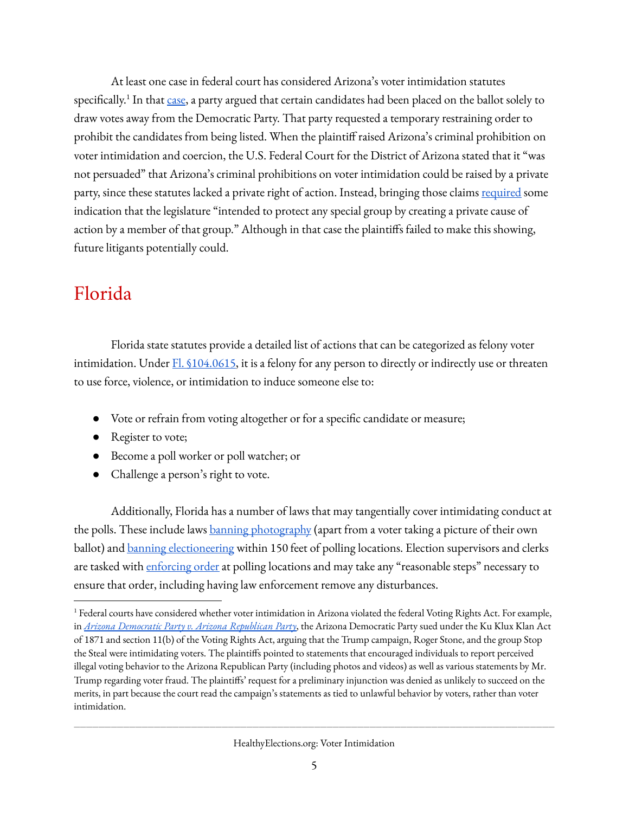At least one case in federal court has considered Arizona's voter intimidation statutes specifically.<sup>1</sup> In that case, a party argued that certain candidates had been placed on the ballot solely to draw votes away from the Democratic Party. That party requested a temporary restraining order to prohibit the candidates from being listed. When the plaintiff raised Arizona's criminal prohibition on voter intimidation and coercion, the U.S. Federal Court for the District of Arizona stated that it "was not persuaded" that Arizona's criminal prohibitions on voter intimidation could be raised by a private party, since these statutes lacked a private right of action. Instead, bringing those claims [required](https://cases.justia.com/federal/district-courts/arizona/azdce/2:2010cv01902/549648/29/0.pdf?ts=1428820086#page=8) some indication that the legislature "intended to protect any special group by creating a private cause of action by a member of that group." Although in that case the plaintiffs failed to make this showing, future litigants potentially could.

# <span id="page-4-0"></span>Florida

Florida state statutes provide a detailed list of actions that can be categorized as felony voter intimidation. Under Fl. §104.0615, it is a felony for any person to directly or indirectly use or threaten to use force, violence, or intimidation to induce someone else to:

- Vote or refrain from voting altogether or for a specific candidate or measure;
- Register to vote;
- Become a poll worker or poll watcher; or
- Challenge a person's right to vote.

Additionally, Florida has a number of laws that may tangentially cover intimidating conduct at the polls. These include laws **banning photography** (apart from a voter taking a picture of their own ballot) and **[banning electioneering](http://www.leg.state.fl.us/statutes/index.cfm?App_mode=Display_Statute&URL=0100-0199/0102/Sections/0102.031.html)** within 150 feet of polling locations. Election supervisors and clerks are tasked with [enforcing order](http://www.leg.state.fl.us/statutes/index.cfm?App_mode=Display_Statute&URL=0100-0199/0102/Sections/0102.031.html) at polling locations and may take any "reasonable steps" necessary to ensure that order, including having law enforcement remove any disturbances.

<sup>&</sup>lt;sup>1</sup> Federal courts have considered whether voter intimidation in Arizona violated the federal Voting Rights Act. For example, in *[Arizona Democratic Party v. Arizona Republican Party](https://cases.justia.com/federal/district-courts/arizona/azdce/2:2016cv03752/1006737/31/0.pdf?ts=1478337442)* , the Arizona Democratic Party sued under the Ku Klux Klan Act of 1871 and section 11(b) of the Voting Rights Act, arguing that the Trump campaign, Roger Stone, and the group Stop the Steal were intimidating voters. The plaintiffs pointed to statements that encouraged individuals to report perceived illegal voting behavior to the Arizona Republican Party (including photos and videos) as well as various statements by Mr. Trump regarding voter fraud. The plaintiffs' request for a preliminary injunction was denied as unlikely to succeed on the merits, in part because the court read the campaign's statements as tied to unlawful behavior by voters, rather than voter intimidation.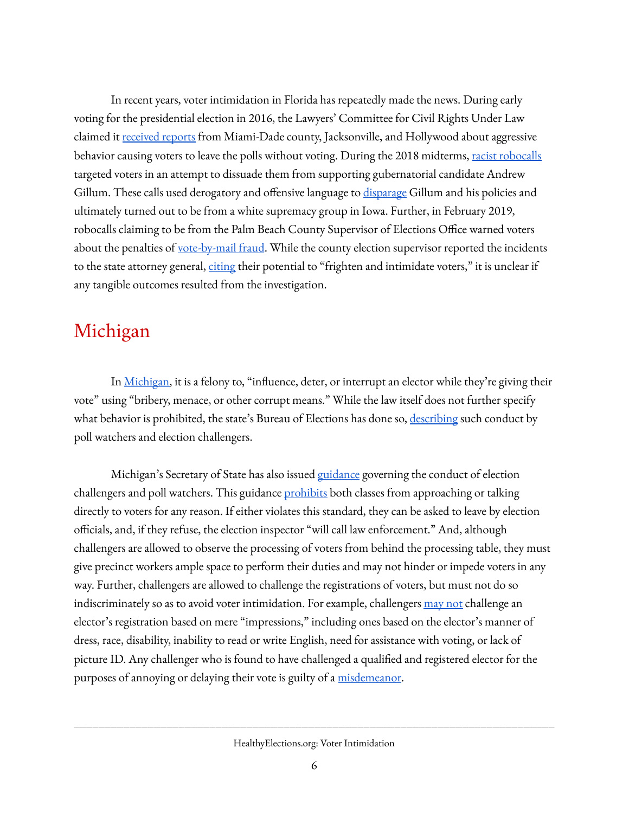In recent years, voter intimidation in Florida has repeatedly made the news. During early voting for the presidential election in 2016, the Lawyers' Committee for Civil Rights Under Law claimed it [received reports](https://www.washingtonpost.com/politics/2016/live-updates/general-election/real-time-updates-on-the-2016-election-voting-and-race-results/voting-issues-in-florida-intimidation-reported-at-polling-places/) from Miami-Dade county, Jacksonville, and Hollywood about aggressive behavior causing voters to leave the polls without voting. During the 2018 midterms, [racist robocalls](https://www.npr.org/2018/09/03/644292095/florida-election-is-latest-target-of-white-supremacist-robocalls) targeted voters in an attempt to dissuade them from supporting gubernatorial candidate Andrew Gillum. These calls used derogatory and offensive language to [disparage](https://www.nbcnews.com/politics/politics-news/gillum-targeted-new-racist-robocall-florida-governor-race-n923406) Gillum and his policies and ultimately turned out to be from a white supremacy group in Iowa. Further, in February 2019, robocalls claiming to be from the Palm Beach County Supervisor of Elections Office warned voters about the penalties of [vote-by-mail fraud](https://www.palmbeachpost.com/news/20190220/elections-supervisor-says-robocalls-about-vote-by-mail-fraud-are-fake). While the county election supervisor reported the incidents to the state attorney general, [citing](https://www.palmbeachpost.com/news/20190220/elections-supervisor-says-robocalls-about-vote-by-mail-fraud-are-fake) their potential to "frighten and intimidate voters," it is unclear if any tangible outcomes resulted from the investigation.

## <span id="page-5-0"></span>Michigan

In Michigan, it is a felony to, "influence, deter, or interrupt an elector while they're giving their vote" using "bribery, menace, or other corrupt means." While the law itself does not further specify what behavior is prohibited, the state's Bureau of Elections has done so, [describing](https://www.michigan.gov/documents/SOS_ED_2_CHALLENGERS_77017_7.pdf) such conduct by poll watchers and election challengers.

Michigan's Secretary of State has also issued [guidance](https://www.michigan.gov/documents/SOS_ED_2_CHALLENGERS_77017_7.pdf) governing the conduct of election challengers and poll watchers. This guidance [prohibits](https://www.michigan.gov/documents/SOS_ED_2_CHALLENGERS_77017_7.pdf) both classes from approaching or talking directly to voters for any reason. If either violates this standard, they can be asked to leave by election officials, and, if they refuse, the election inspector "will call law enforcement." And, although challengers are allowed to observe the processing of voters from behind the processing table, they must give precinct workers ample space to perform their duties and may not hinder or impede voters in any way. Further, challengers are allowed to challenge the registrations of voters, but must not do so indiscriminately so as to avoid voter intimidation. For example, challengers [may not](https://www.michigan.gov/documents/SOS_ED_2_CHALLENGERS_77017_7.pdf) challenge an elector's registration based on mere "impressions," including ones based on the elector's manner of dress, race, disability, inability to read or write English, need for assistance with voting, or lack of picture ID. Any challenger who is found to have challenged a qualified and registered elector for the purposes of annoying or delaying their vote is guilty of a misdemeanor.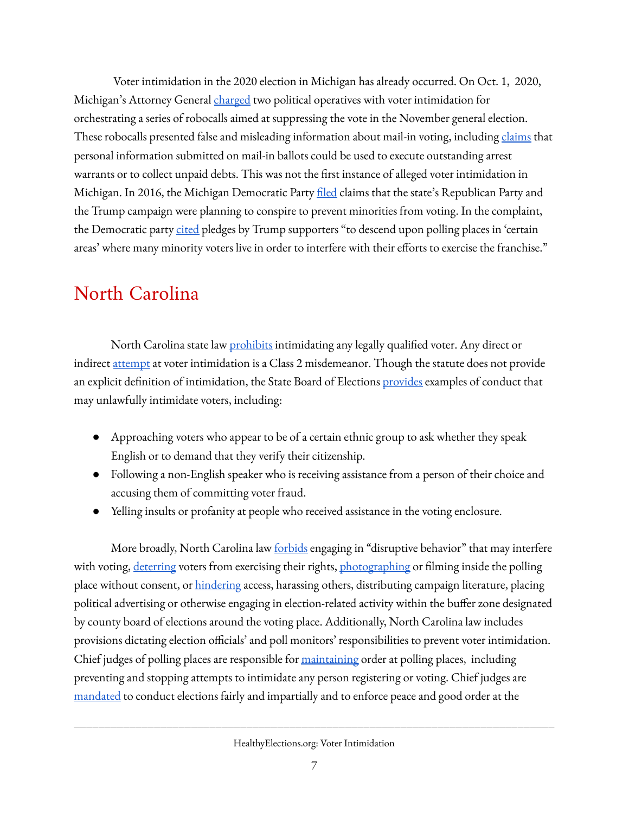Voter intimidation in the 2020 election in Michigan has already occurred. On Oct. 1, 2020, Michigan's Attorney General [charged](https://www.michigan.gov/ag/0,4534,7-359--541052--,00.html) two political operatives with voter intimidation for orchestrating a series of robocalls aimed at suppressing the vote in the November general election. These robocalls presented false and misleading information about mail-in voting, including [claims](https://www.nytimes.com/2020/10/01/us/elections/jacob-wohl-jack-burkman-michigan-felony.html) that personal information submitted on mail-in ballots could be used to execute outstanding arrest warrants or to collect unpaid debts. This was not the first instance of alleged voter intimidation in Michigan. In 2016, the Michigan Democratic Party filed claims that the state's Republican Party and the Trump campaign were planning to conspire to prevent minorities from voting. In the complaint, the Democratic party [cited](https://www.courthousenews.com/michigan-dems-add-to-voter-suppression-claims/) pledges by Trump supporters "to descend upon polling places in 'certain areas' where many minority voters live in order to interfere with their efforts to exercise the franchise."

# <span id="page-6-0"></span>North Carolina

North Carolina state law *[prohibits](https://law.justia.com/codes/north-carolina/2014/chapter-163/article-22/section-163-274)* intimidating any legally qualified voter. Any direct or indirect [attempt](https://law.justia.com/codes/north-carolina/2014/chapter-163/article-22/section-163-274) at voter intimidation is a Class 2 misdemeanor. Though the statute does not provide an explicit definition of intimidation, the State Board of Election[s provides](https://s3.amazonaws.com/dl.ncsbe.gov/sboe/numbermemo/2016/Numbered%20Memo%202016-20%20Conduct%20at%20the%20Polls.pdf) examples of conduct that may unlawfully intimidate voters, including:

- Approaching voters who appear to be of a certain ethnic group to ask whether they speak English or to demand that they verify their citizenship.
- Following a non-English speaker who is receiving assistance from a person of their choice and accusing them of committing voter fraud.
- Yelling insults or profanity at people who received assistance in the voting enclosure.

More broadly, North Carolina law **forbids** engaging in "disruptive behavior" that may interfere with voting, [deterring](https://www.ncleg.gov/enactedlegislation/statutes/pdf/bysection/chapter_163/gs_163-275.pdf) voters from exercising their rights[, photographing](https://s3.amazonaws.com/dl.ncsbe.gov/sboe/numbermemo/2016/Numbered_Memo_2016-17.pdf) or filming inside the polling place without consent, or *hindering* access, harassing others, distributing campaign literature, placing political advertising or otherwise engaging in election-related activity within the buffer zone designated by county board of elections around the voting place. Additionally, North Carolina law includes provisions dictating election officials' and poll monitors' responsibilities to prevent voter intimidation. Chief judges of polling places are responsible for *maintaining* order at polling places, including preventing and stopping attempts to intimidate any person registering or voting. Chief judge[s](https://www.ncleg.gov/EnactedLegislation/Statutes/PDF/BySection/Chapter_163/GS_163-47.pdf) are [mandated](https://www.ncleg.gov/EnactedLegislation/Statutes/PDF/BySection/Chapter_163/GS_163-47.pdf) to conduct elections fairly and impartially and to enforce peace and good order at the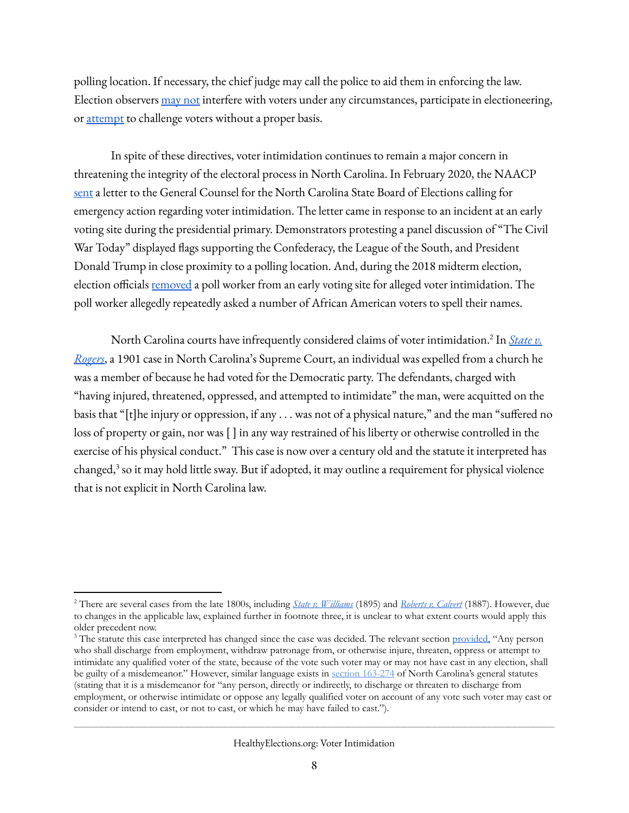polling location. If necessary, the chief judge may call the police to aid them in enforcing the law. Election observer[s may not](https://www.ncleg.gov/EnactedLegislation/Statutes/PDF/BySection/Chapter_163/GS_163-45.pdf) interfere with voters under any circumstances, participate in electioneering, or [attempt](https://www.ncleg.gov/EnactedLegislation/Statutes/PDF/BySection/Chapter_163/GS_163-90.1.pdf) to challenge voters without a proper basis.

 In spite of these directives, voter intimidation continues to remain a major concern in threatening the integrity of the electoral process in North Carolina. In February 2020, the NAAC[P](https://www.naacpldf.org/wp-content/uploads/2-24-20-Coalition-Letter-to-SBOE-re-Voter-Intimidation-in-Chatham-County.pdf)  [sent](https://www.naacpldf.org/wp-content/uploads/2-24-20-Coalition-Letter-to-SBOE-re-Voter-Intimidation-in-Chatham-County.pdf) a letter to the General Counsel for the North Carolina State Board of Elections calling for emergency action regarding voter intimidation. The letter came in response to an incident at an early voting site during the presidential primary. Demonstrators protesting a panel discussion of "The Civil War Today" displayed flags supporting the Confederacy, the League of the South, and President Donald Trump in close proximity to a polling location. And, during the 2018 midterm election, election official[s removed](https://www.newsobserver.com/news/local/article220380085.html) a poll worker from an early voting site for alleged voter intimidation. The poll worker allegedly repeatedly asked a number of African American voters to spell their names.

North Carolina courts have infrequently considered claims of voter intimidation.<sup>2</sup> In *State v. [Rogers](https://www.westlaw.com/Document/I4bc81f58044211da8ac8f235252e36df/View/FullText.html?transitionType=Default&contextData=(sc.Default)&VR=3.0&RS=cblt1.0)* , a 1901 case in North Carolina's Supreme Court, an individual was expelled from a church he was a member of because he had voted for the Democratic party. The defendants, charged with "having injured, threatened, oppressed, and attempted to intimidate" the man, were acquitted on the basis that "[t]he injury or oppression, if any . . . was not of a physical nature," and the man "suffered no loss of property or gain, nor was [ ] in any way restrained of his liberty or otherwise controlled in the exercise of his physical conduct." This case is now over a century old and the statute it interpreted has changed, $3$  so it may hold little sway. But if adopted, it may outline a requirement for physical violence that is not explicit in North Carolina law.

HealthyElections.org: Voter Intimidation

<sup>2</sup> There are several cases from the late 1800s, including *[State v. Williams](https://www.westlaw.com/Document/Ic0a16b7d045011dabf60c1d57ebc853e/View/FullText.html?transitionType=Default&contextData=(sc.Default)&VR=3.0&RS=cblt1.0)* (1895) and *[Roberts v. Calvert](https://www.westlaw.com/Document/I63208854044211da9439b076ef9ec4de/View/FullText.html?transitionType=Default&contextData=(sc.Default)&VR=3.0&RS=cblt1.0)* (1887). However, due to changes in the applicable law, explained further in footnote three, it is unclear to what extent courts would apply this older precedent now.

<sup>&</sup>lt;sup>3</sup> The statute this case interpreted has changed since the case was decided. The relevant section provided, "Any person who shall discharge from employment, withdraw patronage from, or otherwise injure, threaten, oppress or attempt to intimidate any qualified voter of the state, because of the vote such voter may or may not have cast in any election, shall be guilty of a misdemeanor." However, similar language exists in [section 163-274](https://law.justia.com/codes/north-carolina/2014/chapter-163/article-22/section-163-274) of North Carolina's general statutes (stating that it is a misdemeanor for "any person, directly or indirectly, to discharge or threaten to discharge from employment, or otherwise intimidate or oppose any legally qualified voter on account of any vote such voter may cast or consider or intend to cast, or not to cast, or which he may have failed to cast.").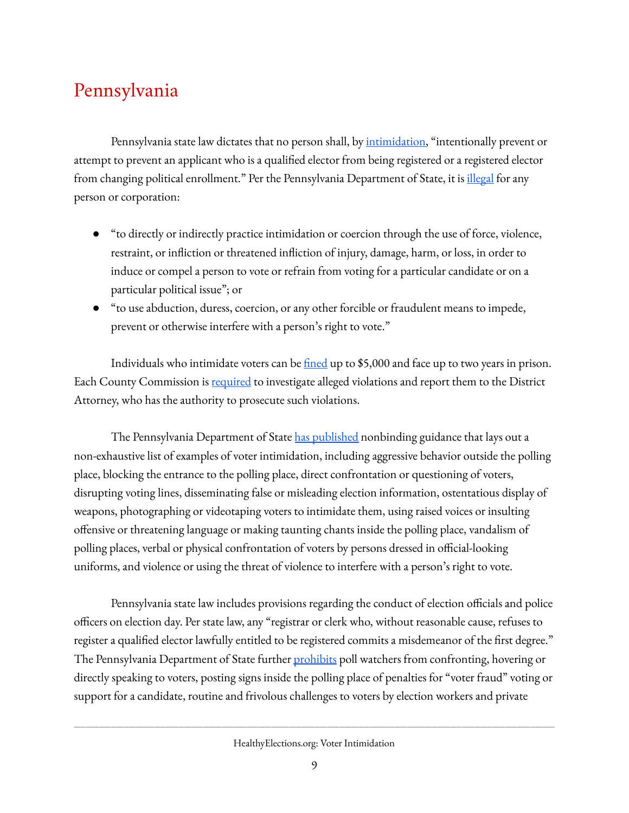# Pennsylvania

Pennsylvania state law dictates that no person shall, by intimidation, "intentionally prevent or attempt to prevent an applicant who is a qualified elector from being registered or a registered elector from changing political enrollment." Per the Pennsylvania Department of State, it is *illegal* for any person or corporation:

- "to directly or indirectly practice intimidation or coercion through the use of force, violence, restraint, or infliction or threatened infliction of injury, damage, harm, or loss, in order to induce or compel a person to vote or refrain from voting for a particular candidate or on a particular political issue"; or
- "to use abduction, duress, coercion, or any other forcible or fraudulent means to impede, prevent or otherwise interfere with a person's right to vote."

Individuals who intimidate voters can be  $\frac{\text{fined}}{\text{u}}$  up to \$5,000 and face up to two years in prison. Each County Commission i[s required](https://www.dos.pa.gov/VotingElections/OtherServicesEvents/Documents/DOS%20Voter%20Intimidation%20Guidance%2010.14.16.pdf) to investigate alleged violations and report them to the District Attorney, who has the authority to prosecute such violations.

The Pennsylvania Department of Stat[e has published](https://www.dos.pa.gov/VotingElections/OtherServicesEvents/Documents/DOS%20Voter%20Intimidation%20Guidance%2010.14.16.pdf) nonbinding guidance that lays out a non-exhaustive list of examples of voter intimidation, including aggressive behavior outside the polling place, blocking the entrance to the polling place, direct confrontation or questioning of voters, disrupting voting lines, disseminating false or misleading election information, ostentatious display of weapons, photographing or videotaping voters to intimidate them, using raised voices or insulting offensive or threatening language or making taunting chants inside the polling place, vandalism of polling places, verbal or physical confrontation of voters by persons dressed in official-looking uniforms, and violence or using the threat of violence to interfere with a person's right to vote.

Pennsylvania state law includes provisions regarding the conduct of election officials and police officers on election day. Per state law, any "registrar or clerk who, without reasonable cause, refuses to register a qualified elector lawfully entitled to be registered commits a misdemeanor of the first degree." The Pennsylvania Department of State further **prohibits** poll watchers from confronting, hovering or directly speaking to voters, posting signs inside the polling place of penalties for "voter fraud" voting or support for a candidate, routine and frivolous challenges to voters by election workers and private

HealthyElections.org: Voter Intimidation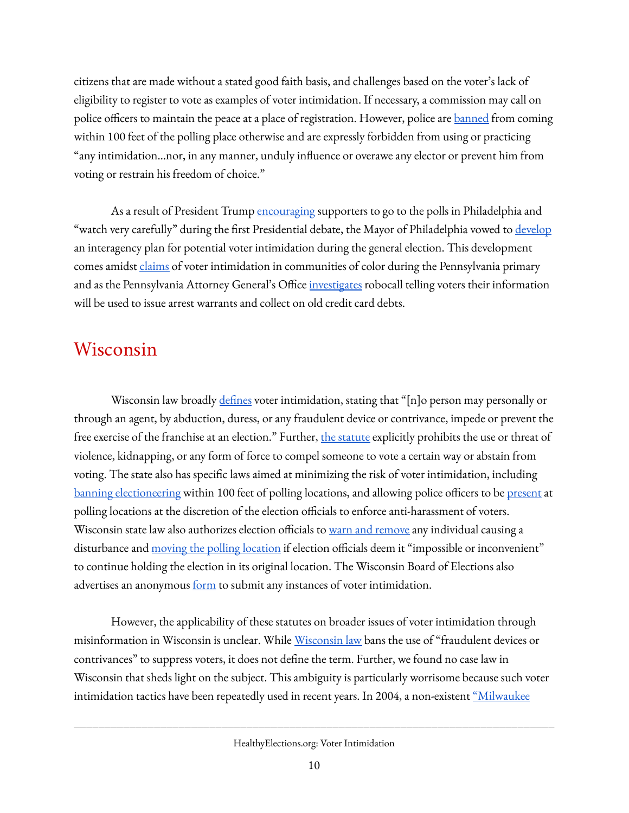citizens that are made without a stated good faith basis, and challenges based on the voter's lack of eligibility to register to vote as examples of voter intimidation. If necessary, a commission may call on police officers to maintain the peace at a place of registration. However, police are **banned** from coming within 100 feet of the polling place otherwise and are expressly forbidden from using or practicing "any intimidation...nor, in any manner, unduly influence or overawe any elector or prevent him from voting or restrain his freedom of choice."

As a result of President Trump [encouraging](https://www.nytimes.com/2020/09/30/us/trump-election-poll-watchers.html) supporters to go to the polls in Philadelphia and "watch very carefully" during the first Presidential debate, the Mayor of Philadelphia vowed to [develop](https://www.forbes.com/sites/alisondurkee/2020/09/30/philadelphia-developing-anti-voter-intimidation-plan-after-trump-tells-supporters-to-watch-the-polls-debate/#72bab1e4ad86) an interagency plan for potential voter intimidation during the general election. This development comes amidst *claims* of voter intimidation in communities of color during the Pennsylvania primary and as the Pennsylvania Attorney General's Office *investigates* robocall telling voters their information will be used to issue arrest warrants and collect on old credit card debts.

#### <span id="page-9-0"></span>Wisconsin

Wisconsin law broadly  $defines$  voter intimidation, stating that "[n]o person may personally or</u> through an agent, by abduction, duress, or any fraudulent device or contrivance, impede or prevent the free exercise of the franchise at an election." Further, [the statute](https://docs.legis.wisconsin.gov/statutes/statutes/12/09) explicitly prohibits the use or threat of violence, kidnapping, or any form of force to compel someone to vote a certain way or abstain from voting. The state also has specific laws aimed at minimizing the risk of voter intimidation, including [banning electioneering](https://docs.legis.wisconsin.gov/statutes/statutes/7/i/37/2) within 100 feet of polling locations, and allowing police officers to be [present](https://docs.legis.wisconsin.gov/statutes/statutes/7/i/37#:~:text=Wisconsin%20Legislature%3A%207.37&text=(4)%20The%20commission%20shall%20require,requirements%20to%20maintain%20that%20certification.&text=The%20commission%20shall%20pay%20all,from%20the%20appropriation%20under%20s.) at polling locations at the discretion of the election officials to enforce anti-harassment of voters. Wisconsin state law also authorizes election officials to [warn and remove](https://docs.legis.wisconsin.gov/statutes/statutes/7/i/37/2) any individual causing a disturbance and [moving the polling location](https://docs.legis.wisconsin.gov/statutes/statutes/7/i/37/1) if election officials deem it "impossible or inconvenient" to continue holding the election in its original location. The Wisconsin Board of Elections also advertises an anonymous <u>[form](https://elections.wi.gov/complaints/intimidation)</u> to submit any instances of voter intimidation.

However, the applicability of these statutes on broader issues of voter intimidation through misinformation in Wisconsin is unclear. While [Wisconsin law](https://docs.legis.wisconsin.gov/statutes/statutes/12/09) bans the use of "fraudulent devices or contrivances" to suppress voters, it does not define the term. Further, we found no case law in Wisconsin that sheds light on the subject. This ambiguity is particularly worrisome because such voter intimidation tactics have been repeatedly used in recent years. In 2004, a non-existent "Milwaukee

HealthyElections.org: Voter Intimidation